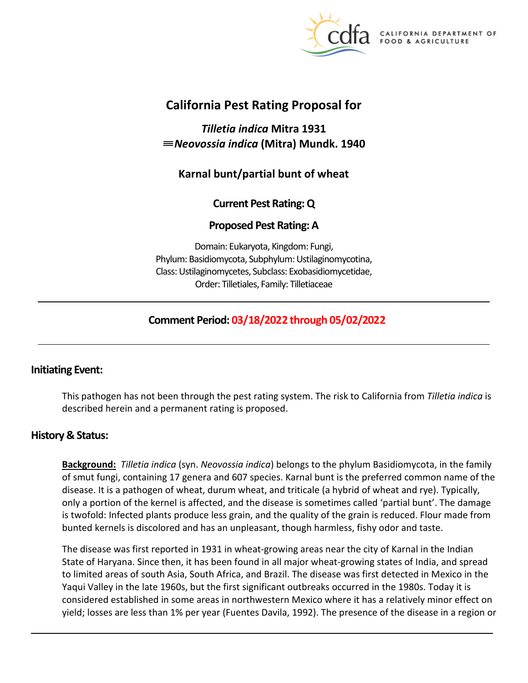

A DEPARTMENT OF FOOD & AGRICULTURE

# **California Pest Rating Proposal for**

*Tilletia indica* **Mitra 1931**  ≡*Neovossia indica* **(Mitra) Mundk. 1940** 

# **Karnal bunt/partial bunt of wheat**

# **Current Pest Rating: Q**

# **Proposed Pest Rating: A**

Domain: Eukaryota, Kingdom: Fungi, Phylum: Basidiomycota, Subphylum: Ustilaginomycotina, Class: Ustilaginomycetes, Subclass: Exobasidiomycetidae, Order: Tilletiales, Family: Tilletiaceae

# **Comment Period: 03/18/2022 through 05/02/2022**

# **Initiating Event:**

This pathogen has not been through the pest rating system. The risk to California from *Tilletia indica* is described herein and a permanent rating is proposed.

# **History & Status:**

**Background:** *Tilletia indica* (syn. *Neovossia indica*) belongs to the phylum Basidiomycota, in the family of smut fungi, containing 17 genera and 607 species. Karnal bunt is the preferred common name of the disease. It is a pathogen of wheat, durum wheat, and triticale (a hybrid of wheat and rye). Typically, only a portion of the kernel is affected, and the disease is sometimes called 'partial bunt'. The damage is twofold: Infected plants produce less grain, and the quality of the grain is reduced. Flour made from bunted kernels is discolored and has an unpleasant, though harmless, fishy odor and taste.

The disease was first reported in 1931 in wheat-growing areas near the city of Karnal in the Indian State of Haryana. Since then, it has been found in all major wheat-growing states of India, and spread to limited areas of south Asia, South Africa, and Brazil. The disease was first detected in Mexico in the Yaqui Valley in the late 1960s, but the first significant outbreaks occurred in the 1980s. Today it is considered established in some areas in northwestern Mexico where it has a relatively minor effect on yield; losses are less than 1% per year (Fuentes Davila, 1992). The presence of the disease in a region or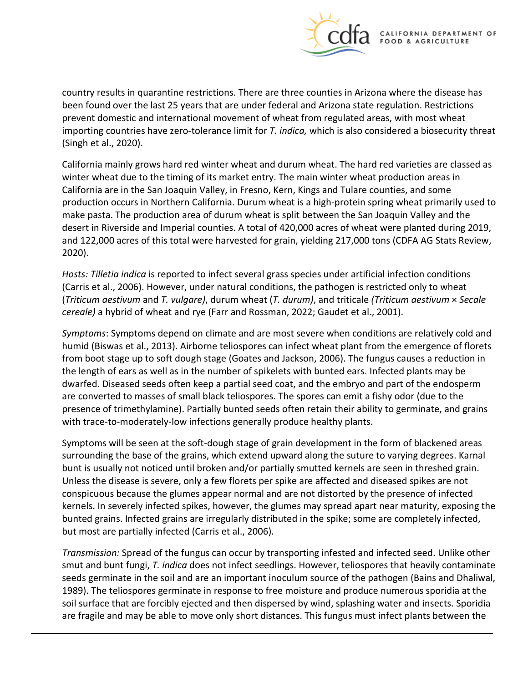

country results in quarantine restrictions. There are three counties in Arizona where the disease has been found over the last 25 years that are under federal and Arizona state regulation. Restrictions prevent domestic and international movement of wheat from regulated areas, with most wheat importing countries have zero-tolerance limit for *T. indica,* which is also considered a biosecurity threat (Singh et al., 2020).

California mainly grows hard red winter wheat and durum wheat. The hard red varieties are classed as winter wheat due to the timing of its market entry. The main winter wheat production areas in California are in the San Joaquin Valley, in Fresno, Kern, Kings and Tulare counties, and some production occurs in Northern California. Durum wheat is a high-protein spring wheat primarily used to make pasta. The production area of durum wheat is split between the San Joaquin Valley and the desert in Riverside and Imperial counties. A total of 420,000 acres of wheat were planted during 2019, and 122,000 acres of this total were harvested for grain, yielding 217,000 tons (CDFA AG Stats Review, 2020).

*Hosts: Tilletia indica* is reported to infect several grass species under artificial infection conditions (Carris et al., 2006). However, under natural conditions, the pathogen is restricted only to wheat (*Triticum aestivum* and *T. vulgare)*, durum wheat (*T. durum)*, and triticale *(Triticum aestivum* × *Secale cereale)* a hybrid of wheat and rye (Farr and Rossman, 2022; Gaudet et al., 2001).

*Symptoms*: Symptoms depend on climate and are most severe when conditions are relatively cold and humid (Biswas et al., 2013). Airborne teliospores can infect wheat plant from the emergence of florets from boot stage up to soft dough stage (Goates and Jackson, 2006). The fungus causes a reduction in the length of ears as well as in the number of spikelets with bunted ears. Infected plants may be dwarfed. Diseased seeds often keep a partial seed coat, and the embryo and part of the endosperm are converted to masses of small black teliospores. The spores can emit a fishy odor (due to the presence of trimethylamine). Partially bunted seeds often retain their ability to germinate, and grains with trace-to-moderately-low infections generally produce healthy plants.

Symptoms will be seen at the soft-dough stage of grain development in the form of blackened areas surrounding the base of the grains, which extend upward along the suture to varying degrees. Karnal bunt is usually not noticed until broken and/or partially smutted kernels are seen in threshed grain. Unless the disease is severe, only a few florets per spike are affected and diseased spikes are not conspicuous because the glumes appear normal and are not distorted by the presence of infected kernels. In severely infected spikes, however, the glumes may spread apart near maturity, exposing the bunted grains. Infected grains are irregularly distributed in the spike; some are completely infected, but most are partially infected (Carris et al., 2006).

*Transmission:* Spread of the fungus can occur by transporting infested and infected seed. Unlike other smut and bunt fungi, *T. indica* does not infect seedlings. However, teliospores that heavily contaminate seeds germinate in the soil and are an important inoculum source of the pathogen (Bains and Dhaliwal, 1989). The teliospores germinate in response to free moisture and produce numerous sporidia at the soil surface that are forcibly ejected and then dispersed by wind, splashing water and insects. Sporidia are fragile and may be able to move only short distances. This fungus must infect plants between the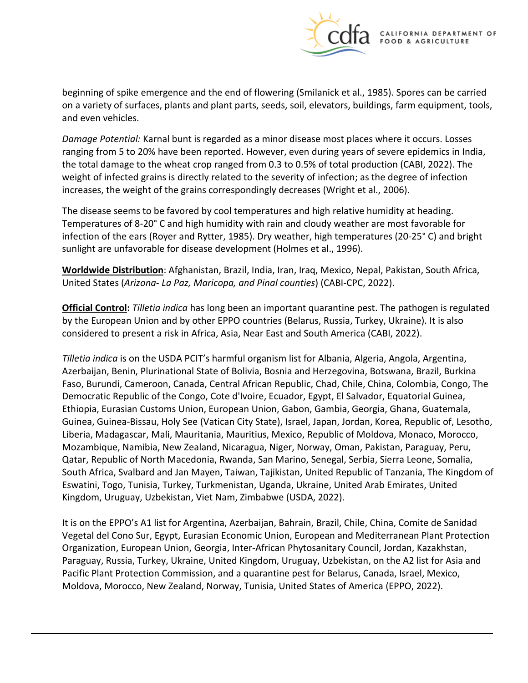

beginning of spike emergence and the end of flowering (Smilanick et al., 1985). Spores can be carried on a variety of surfaces, plants and plant parts, seeds, soil, elevators, buildings, farm equipment, tools, and even vehicles.

*Damage Potential:* Karnal bunt is regarded as a minor disease most places where it occurs. Losses ranging from 5 to 20% have been reported. However, even during years of severe epidemics in India, the total damage to the wheat crop ranged from 0.3 to 0.5% of total production (CABI, 2022). The weight of infected grains is directly related to the severity of infection; as the degree of infection increases, the weight of the grains correspondingly decreases (Wright et al., 2006).

The disease seems to be favored by cool temperatures and high relative humidity at heading. Temperatures of 8-20° C and high humidity with rain and cloudy weather are most favorable for infection of the ears (Royer and Rytter, 1985). Dry weather, high temperatures (20-25° C) and bright sunlight are unfavorable for disease development (Holmes et al., 1996).

**Worldwide Distribution**: Afghanistan, Brazil, India, Iran, Iraq, Mexico, Nepal, Pakistan, South Africa, United States (*Arizona*- *La Paz, Maricopa, and Pinal counties*) (CABI-CPC, 2022).

**Official Control:** *Tilletia indica* has long been an important quarantine pest. The pathogen is regulated by the European Union and by other EPPO countries (Belarus, Russia, Turkey, Ukraine). It is also considered to present a risk in Africa, Asia, Near East and South America (CABI, 2022).

*Tilletia indica* is on the USDA PCIT's harmful organism list for Albania, Algeria, Angola, Argentina, Azerbaijan, Benin, Plurinational State of Bolivia, Bosnia and Herzegovina, Botswana, Brazil, Burkina Faso, Burundi, Cameroon, Canada, Central African Republic, Chad, Chile, China, Colombia, Congo, The Democratic Republic of the Congo, Cote d'Ivoire, Ecuador, Egypt, El Salvador, Equatorial Guinea, Ethiopia, Eurasian Customs Union, European Union, Gabon, Gambia, Georgia, Ghana, Guatemala, Guinea, Guinea-Bissau, Holy See (Vatican City State), Israel, Japan, Jordan, Korea, Republic of, Lesotho, Liberia, Madagascar, Mali, Mauritania, Mauritius, Mexico, Republic of Moldova, Monaco, Morocco, Mozambique, Namibia, New Zealand, Nicaragua, Niger, Norway, Oman, Pakistan, Paraguay, Peru, Qatar, Republic of North Macedonia, Rwanda, San Marino, Senegal, Serbia, Sierra Leone, Somalia, South Africa, Svalbard and Jan Mayen, Taiwan, Tajikistan, United Republic of Tanzania, The Kingdom of Eswatini, Togo, Tunisia, Turkey, Turkmenistan, Uganda, Ukraine, United Arab Emirates, United Kingdom, Uruguay, Uzbekistan, Viet Nam, Zimbabwe (USDA, 2022).

It is on the EPPO's A1 list for Argentina, Azerbaijan, Bahrain, Brazil, Chile, China, Comite de Sanidad Vegetal del Cono Sur, Egypt, Eurasian Economic Union, European and Mediterranean Plant Protection Organization, European Union, Georgia, Inter-African Phytosanitary Council, Jordan, Kazakhstan, Paraguay, Russia, Turkey, Ukraine, United Kingdom, Uruguay, Uzbekistan, on the A2 list for Asia and Pacific Plant Protection Commission, and a quarantine pest for Belarus, Canada, Israel, Mexico, Moldova, Morocco, New Zealand, Norway, Tunisia, United States of America (EPPO, 2022).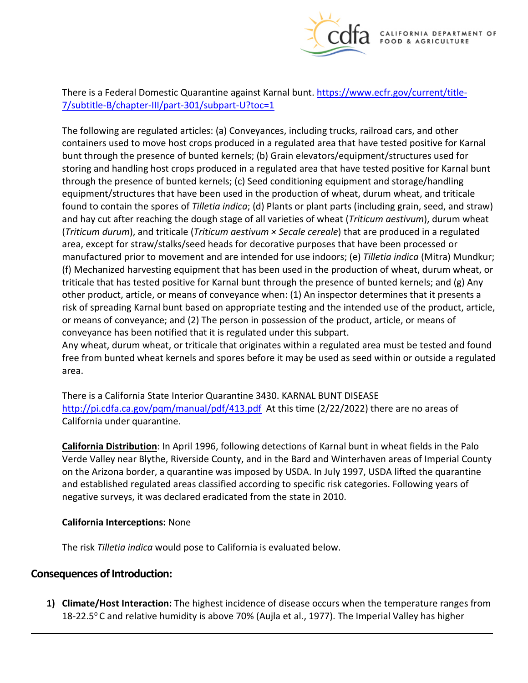

There is a Federal Domestic Quarantine against Karnal bunt. [https://www.ecfr.gov/current/title-](https://www.ecfr.gov/current/title-7/subtitle-B/chapter-III/part-301/subpart-U?toc=1)[7/subtitle-B/chapter-III/part-301/subpart-U?toc=1](https://www.ecfr.gov/current/title-7/subtitle-B/chapter-III/part-301/subpart-U?toc=1) 

The following are regulated articles: (a) Conveyances, including trucks, railroad cars, and other containers used to move host crops produced in a regulated area that have tested positive for Karnal bunt through the presence of bunted kernels; (b) Grain elevators/equipment/structures used for storing and handling host crops produced in a regulated area that have tested positive for Karnal bunt through the presence of bunted kernels; (c) Seed conditioning equipment and storage/handling equipment/structures that have been used in the production of wheat, durum wheat, and triticale found to contain the spores of *Tilletia indica*; (d) Plants or plant parts (including grain, seed, and straw) and hay cut after reaching the dough stage of all varieties of wheat (*Triticum aestivum*), durum wheat (*Triticum durum*), and triticale (*Triticum aestivum × Secale cereale*) that are produced in a regulated area, except for straw/stalks/seed heads for decorative purposes that have been processed or manufactured prior to movement and are intended for use indoors; (e) *Tilletia indica* (Mitra) Mundkur; (f) Mechanized harvesting equipment that has been used in the production of wheat, durum wheat, or triticale that has tested positive for Karnal bunt through the presence of bunted kernels; and (g) Any other product, article, or means of conveyance when: (1) An inspector determines that it presents a risk of spreading Karnal bunt based on appropriate testing and the intended use of the product, article, or means of conveyance; and (2) The person in possession of the product, article, or means of conveyance has been notified that it is regulated under this subpart.

Any wheat, durum wheat, or triticale that originates within a regulated area must be tested and found free from bunted wheat kernels and spores before it may be used as seed within or outside a regulated area.

There is a California State Interior Quarantine 3430. KARNAL BUNT DISEASE <http://pi.cdfa.ca.gov/pqm/manual/pdf/413.pdf>At this time (2/22/2022) there are no areas of California under quarantine.

**California Distribution**: In April 1996, following detections of Karnal bunt in wheat fields in the Palo Verde Valley near Blythe, Riverside County, and in the Bard and Winterhaven areas of Imperial County on the Arizona border, a quarantine was imposed by USDA. In July 1997, USDA lifted the quarantine and established regulated areas classified according to specific risk categories. Following years of negative surveys, it was declared eradicated from the state in 2010.

#### **California Interceptions:** None

The risk *Tilletia indica* would pose to California is evaluated below.

### **Consequences of Introduction:**

**1) Climate/Host Interaction:** The highest incidence of disease occurs when the temperature ranges from 18-22.5°C and relative humidity is above 70% (Aujla et al., 1977). The Imperial Valley has higher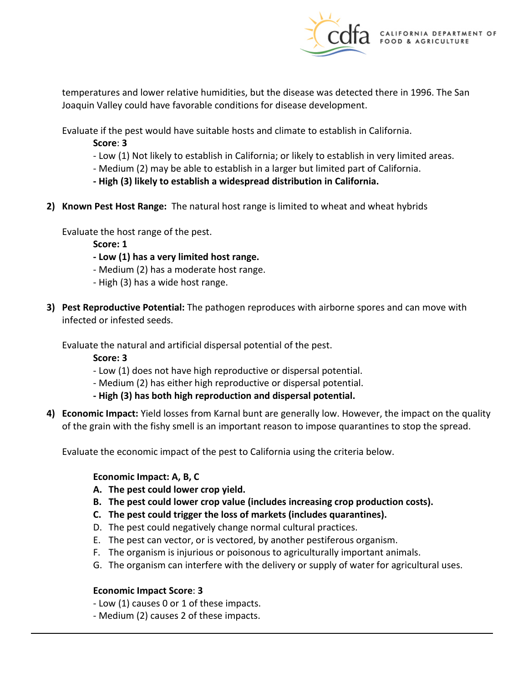

temperatures and lower relative humidities, but the disease was detected there in 1996. The San Joaquin Valley could have favorable conditions for disease development.

Evaluate if the pest would have suitable hosts and climate to establish in California.

**Score**: **3** 

- Low (1) Not likely to establish in California; or likely to establish in very limited areas.
- Medium (2) may be able to establish in a larger but limited part of California.
- **- High (3) likely to establish a widespread distribution in California.**
- **2) Known Pest Host Range:** The natural host range is limited to wheat and wheat hybrids

Evaluate the host range of the pest.

**Score: 1** 

- **- Low (1) has a very limited host range.**
- Medium (2) has a moderate host range.
- High (3) has a wide host range.
- **3) Pest Reproductive Potential:** The pathogen reproduces with airborne spores and can move with infected or infested seeds.

Evaluate the natural and artificial dispersal potential of the pest.

**Score: 3** 

- Low (1) does not have high reproductive or dispersal potential.
- Medium (2) has either high reproductive or dispersal potential.
- **- High (3) has both high reproduction and dispersal potential.**
- **4) Economic Impact:** Yield losses from Karnal bunt are generally low. However, the impact on the quality of the grain with the fishy smell is an important reason to impose quarantines to stop the spread.

Evaluate the economic impact of the pest to California using the criteria below.

### **Economic Impact: A, B, C**

- **A. The pest could lower crop yield.**
- **B. The pest could lower crop value (includes increasing crop production costs).**
- **C. The pest could trigger the loss of markets (includes quarantines).**
- D. The pest could negatively change normal cultural practices.
- E. The pest can vector, or is vectored, by another pestiferous organism.
- F. The organism is injurious or poisonous to agriculturally important animals.
- G. The organism can interfere with the delivery or supply of water for agricultural uses.

### **Economic Impact Score**: **3**

- Low (1) causes 0 or 1 of these impacts.
- Medium (2) causes 2 of these impacts.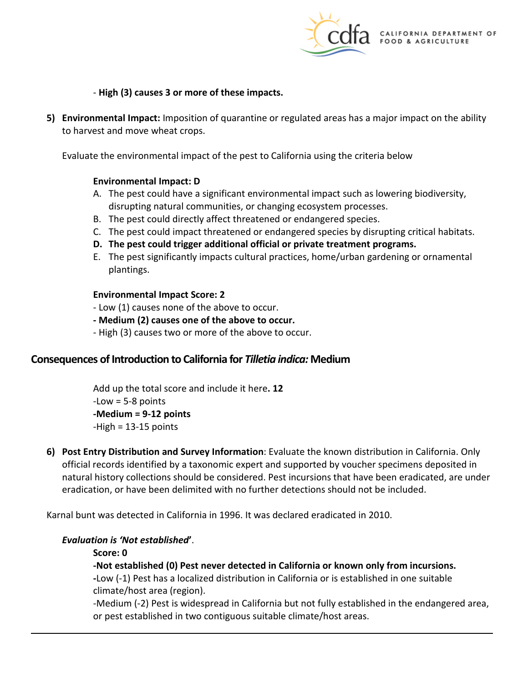

- **High (3) causes 3 or more of these impacts.** 

**5) Environmental Impact:** Imposition of quarantine or regulated areas has a major impact on the ability to harvest and move wheat crops.

Evaluate the environmental impact of the pest to California using the criteria below

#### **Environmental Impact: D**

- A. The pest could have a significant environmental impact such as lowering biodiversity, disrupting natural communities, or changing ecosystem processes.
- B. The pest could directly affect threatened or endangered species.
- C. The pest could impact threatened or endangered species by disrupting critical habitats.
- **D. The pest could trigger additional official or private treatment programs.**
- E. The pest significantly impacts cultural practices, home/urban gardening or ornamental plantings.

#### **Environmental Impact Score: 2**

- Low (1) causes none of the above to occur.
- **- Medium (2) causes one of the above to occur.**
- High (3) causes two or more of the above to occur.

### **Consequences of Introduction to California for** *Tilletia indica:* **Medium**

Add up the total score and include it here**. 12**   $-Low = 5-8$  points **-Medium = 9-12 points**  -High = 13-15 points

**6) Post Entry Distribution and Survey Information**: Evaluate the known distribution in California. Only official records identified by a taxonomic expert and supported by voucher specimens deposited in natural history collections should be considered. Pest incursions that have been eradicated, are under eradication, or have been delimited with no further detections should not be included.

Karnal bunt was detected in California in 1996. It was declared eradicated in 2010.

#### *Evaluation is 'Not established***'**.

**Score: 0** 

#### **-Not established (0) Pest never detected in California or known only from incursions.**

**-**Low (-1) Pest has a localized distribution in California or is established in one suitable climate/host area (region).

-Medium (-2) Pest is widespread in California but not fully established in the endangered area, or pest established in two contiguous suitable climate/host areas.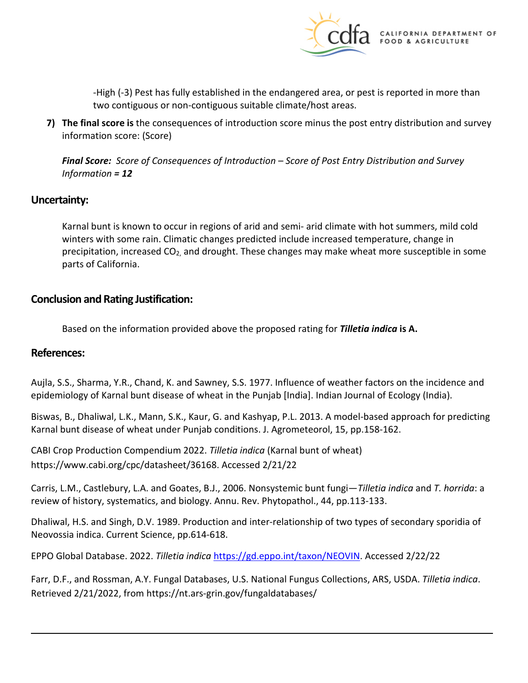

-High (-3) Pest has fully established in the endangered area, or pest is reported in more than two contiguous or non-contiguous suitable climate/host areas.

**7) The final score is** the consequences of introduction score minus the post entry distribution and survey information score: (Score)

*Final Score: Score of Consequences of Introduction – Score of Post Entry Distribution and Survey Information = 12* 

## **Uncertainty:**

Karnal bunt is known to occur in regions of arid and semi- arid climate with hot summers, mild cold winters with some rain. Climatic changes predicted include increased temperature, change in precipitation, increased  $CO<sub>2</sub>$ , and drought. These changes may make wheat more susceptible in some parts of California.

## **Conclusion and Rating Justification:**

Based on the information provided above the proposed rating for *Tilletia indica* **is A.** 

### **References:**

Aujla, S.S., Sharma, Y.R., Chand, K. and Sawney, S.S. 1977. Influence of weather factors on the incidence and epidemiology of Karnal bunt disease of wheat in the Punjab [India]. Indian Journal of Ecology (India).

Biswas, B., Dhaliwal, L.K., Mann, S.K., Kaur, G. and Kashyap, P.L. 2013. A model-based approach for predicting Karnal bunt disease of wheat under Punjab conditions. J. Agrometeorol, 15, pp.158-162.

CABI Crop Production Compendium 2022. *Tilletia indica* (Karnal bunt of wheat) <https://www.cabi.org/cpc/datasheet/36168>. Accessed 2/21/22

Carris, L.M., Castlebury, L.A. and Goates, B.J., 2006. Nonsystemic bunt fungi—*Tilletia indica* and *T. horrida*: a review of history, systematics, and biology. Annu. Rev. Phytopathol., 44, pp.113-133.

Dhaliwal, H.S. and Singh, D.V. 1989. Production and inter-relationship of two types of secondary sporidia of Neovossia indica. Current Science, pp.614-618.

EPPO Global Database. 2022. *Tilletia indica* [https://gd.eppo.int/taxon/NEOVIN.](https://gd.eppo.int/taxon/NEOVIN) Accessed 2/22/22

Farr, D.F., and Rossman, A.Y. Fungal Databases, U.S. National Fungus Collections, ARS, USDA. *Tilletia indica*. Retrieved 2/21/2022, from [https://nt.ars-grin.gov/fungaldatabases/](https://nt.ars-grin.gov/fungaldatabases)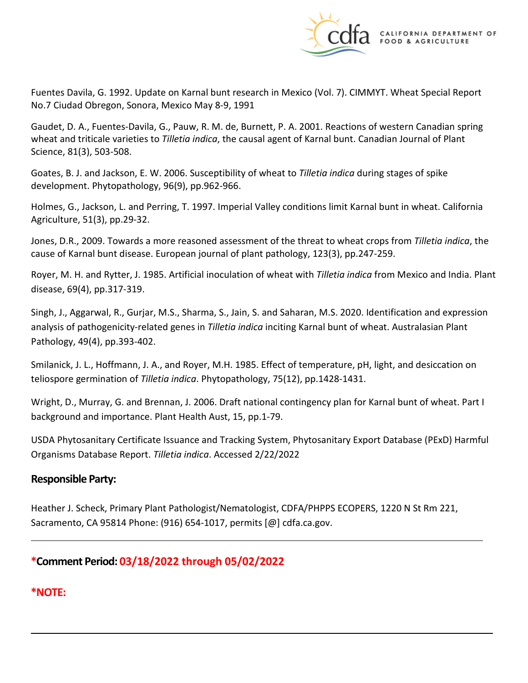

Fuentes Davila, G. 1992. Update on Karnal bunt research in Mexico (Vol. 7). CIMMYT. Wheat Special Report No.7 Ciudad Obregon, Sonora, Mexico May 8-9, 1991

Gaudet, D. A., Fuentes-Davila, G., Pauw, R. M. de, Burnett, P. A. 2001. Reactions of western Canadian spring wheat and triticale varieties to *Tilletia indica*, the causal agent of Karnal bunt. Canadian Journal of Plant Science, 81(3), 503-508.

Goates, B. J. and Jackson, E. W. 2006. Susceptibility of wheat to *Tilletia indica* during stages of spike development. Phytopathology, 96(9), pp.962-966.

Holmes, G., Jackson, L. and Perring, T. 1997. Imperial Valley conditions limit Karnal bunt in wheat. California Agriculture, 51(3), pp.29-32.

Jones, D.R., 2009. Towards a more reasoned assessment of the threat to wheat crops from *Tilletia indica*, the cause of Karnal bunt disease. European journal of plant pathology, 123(3), pp.247-259.

Royer, M. H. and Rytter, J. 1985. Artificial inoculation of wheat with *Tilletia indica* from Mexico and India. Plant disease, 69(4), pp.317-319.

Singh, J., Aggarwal, R., Gurjar, M.S., Sharma, S., Jain, S. and Saharan, M.S. 2020. Identification and expression analysis of pathogenicity-related genes in *Tilletia indica* inciting Karnal bunt of wheat. Australasian Plant Pathology, 49(4), pp.393-402.

Smilanick, J. L., Hoffmann, J. A., and Royer, M.H. 1985. Effect of temperature, pH, light, and desiccation on teliospore germination of *Tilletia indica*. Phytopathology, 75(12), pp.1428-1431.

Wright, D., Murray, G. and Brennan, J. 2006. Draft national contingency plan for Karnal bunt of wheat. Part I background and importance. Plant Health Aust, 15, pp.1-79.

USDA Phytosanitary Certificate Issuance and Tracking System, Phytosanitary Export Database (PExD) Harmful Organisms Database Report. *Tilletia indica*. Accessed 2/22/2022

# **Responsible Party:**

Heather J. Scheck, Primary Plant Pathologist/Nematologist, CDFA/PHPPS ECOPERS, 1220 N St Rm 221, Sacramento, CA 95814 Phone: (916) 654-1017, permits [@] [cdfa.ca.gov.](https://cdfa.ca.gov)

# **\*Comment Period: 03/18/2022 through 05/02/2022**

# **\*NOTE:**